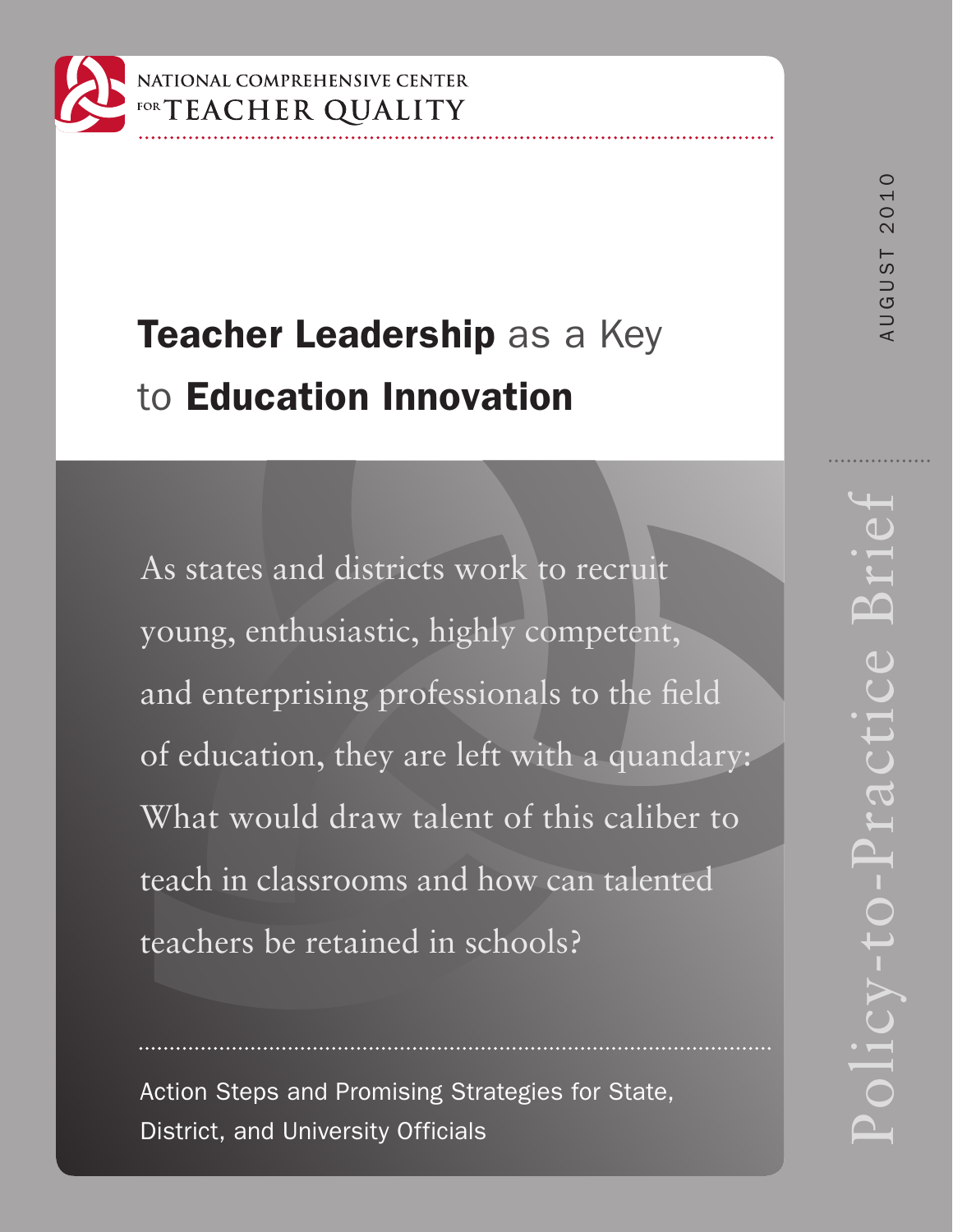

# Teacher Leadership as a Key to Education Innovation

As states and districts work to recruit young, enthusiastic, highly competent, and enterprising professionals to the field of education, they are left with a quandary: What would draw talent of this caliber to teach in classrooms and how can talented teachers be retained in schools?

Action Steps and Promising Strategies for State, District, and University Officials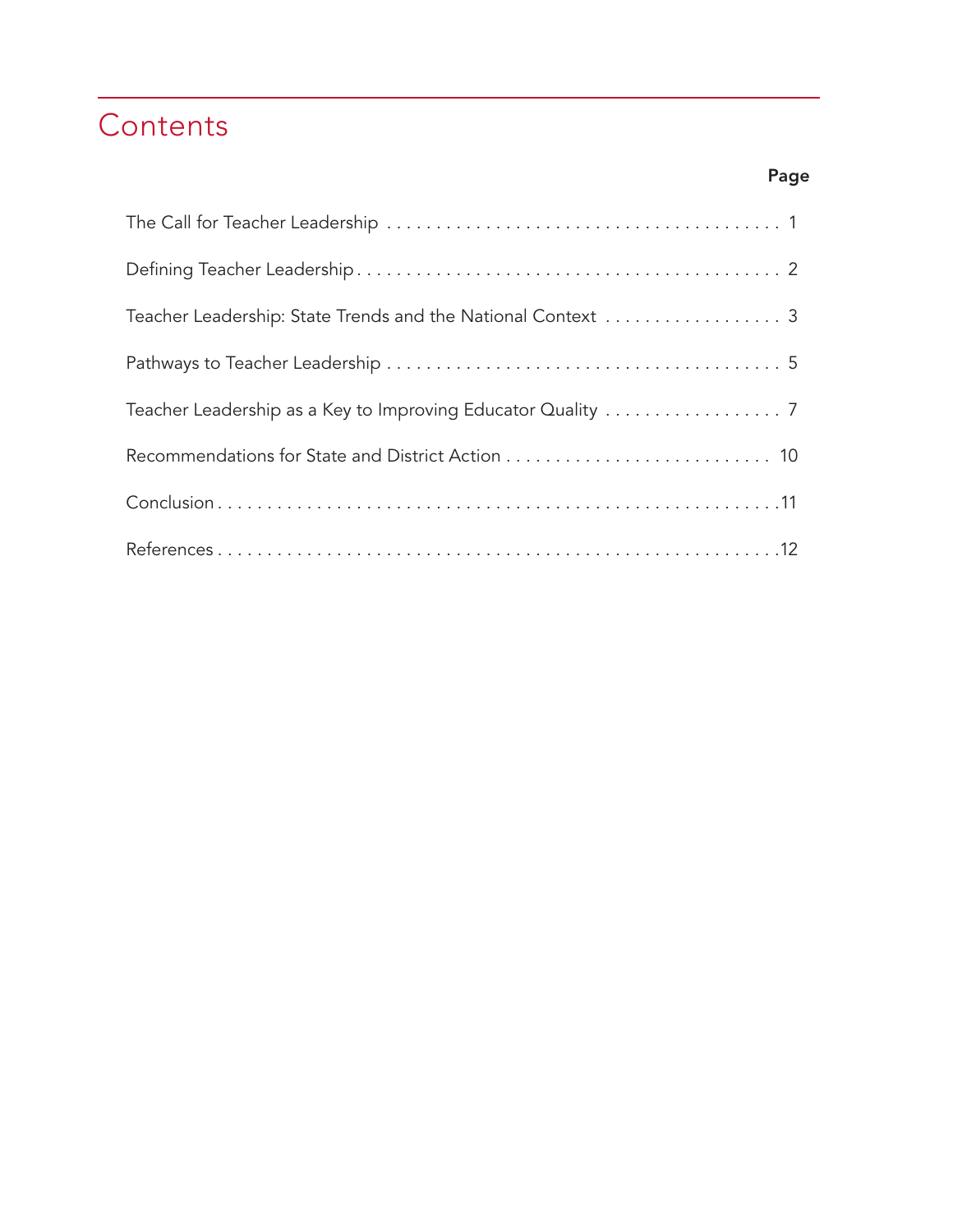## **Contents**

| Teacher Leadership: State Trends and the National Context  3 |
|--------------------------------------------------------------|
|                                                              |
|                                                              |
|                                                              |
|                                                              |
|                                                              |

### Page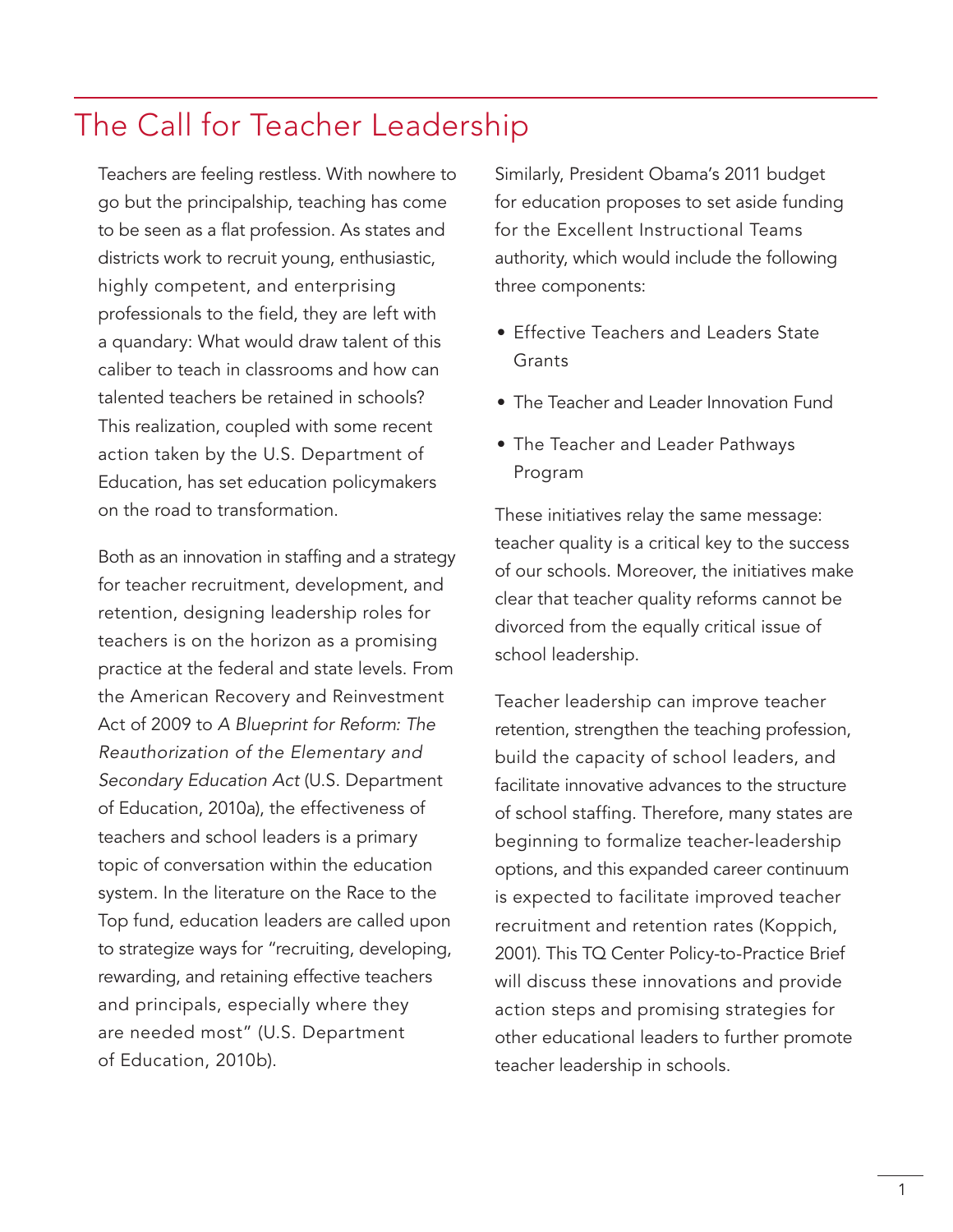### The Call for Teacher Leadership

Teachers are feeling restless. With nowhere to go but the principalship, teaching has come to be seen as a flat profession. As states and districts work to recruit young, enthusiastic, highly competent, and enterprising professionals to the field, they are left with a quandary: What would draw talent of this caliber to teach in classrooms and how can talented teachers be retained in schools? This realization, coupled with some recent action taken by the U.S. Department of Education, has set education policymakers on the road to transformation.

Both as an innovation in staffing and a strategy for teacher recruitment, development, and retention, designing leadership roles for teachers is on the horizon as a promising practice at the federal and state levels. From the American Recovery and Reinvestment Act of 2009 to *A Blueprint for Reform: The Reauthorization of the Elementary and Secondary Education Act* (U.S. Department of Education, 2010a), the effectiveness of teachers and school leaders is a primary topic of conversation within the education system. In the literature on the Race to the Top fund, education leaders are called upon to strategize ways for "recruiting, developing, rewarding, and retaining effective teachers and principals, especially where they are needed most" (U.S. Department of Education, 2010b).

Similarly, President Obama's 2011 budget for education proposes to set aside funding for the Excellent Instructional Teams authority, which would include the following three components:

- Effective Teachers and Leaders State **Grants**
- The Teacher and Leader Innovation Fund
- The Teacher and Leader Pathways Program

These initiatives relay the same message: teacher quality is a critical key to the success of our schools. Moreover, the initiatives make clear that teacher quality reforms cannot be divorced from the equally critical issue of school leadership.

Teacher leadership can improve teacher retention, strengthen the teaching profession, build the capacity of school leaders, and facilitate innovative advances to the structure of school staffing. Therefore, many states are beginning to formalize teacher-leadership options, and this expanded career continuum is expected to facilitate improved teacher recruitment and retention rates (Koppich, 2001). This TQ Center Policy-to-Practice Brief will discuss these innovations and provide action steps and promising strategies for other educational leaders to further promote teacher leadership in schools.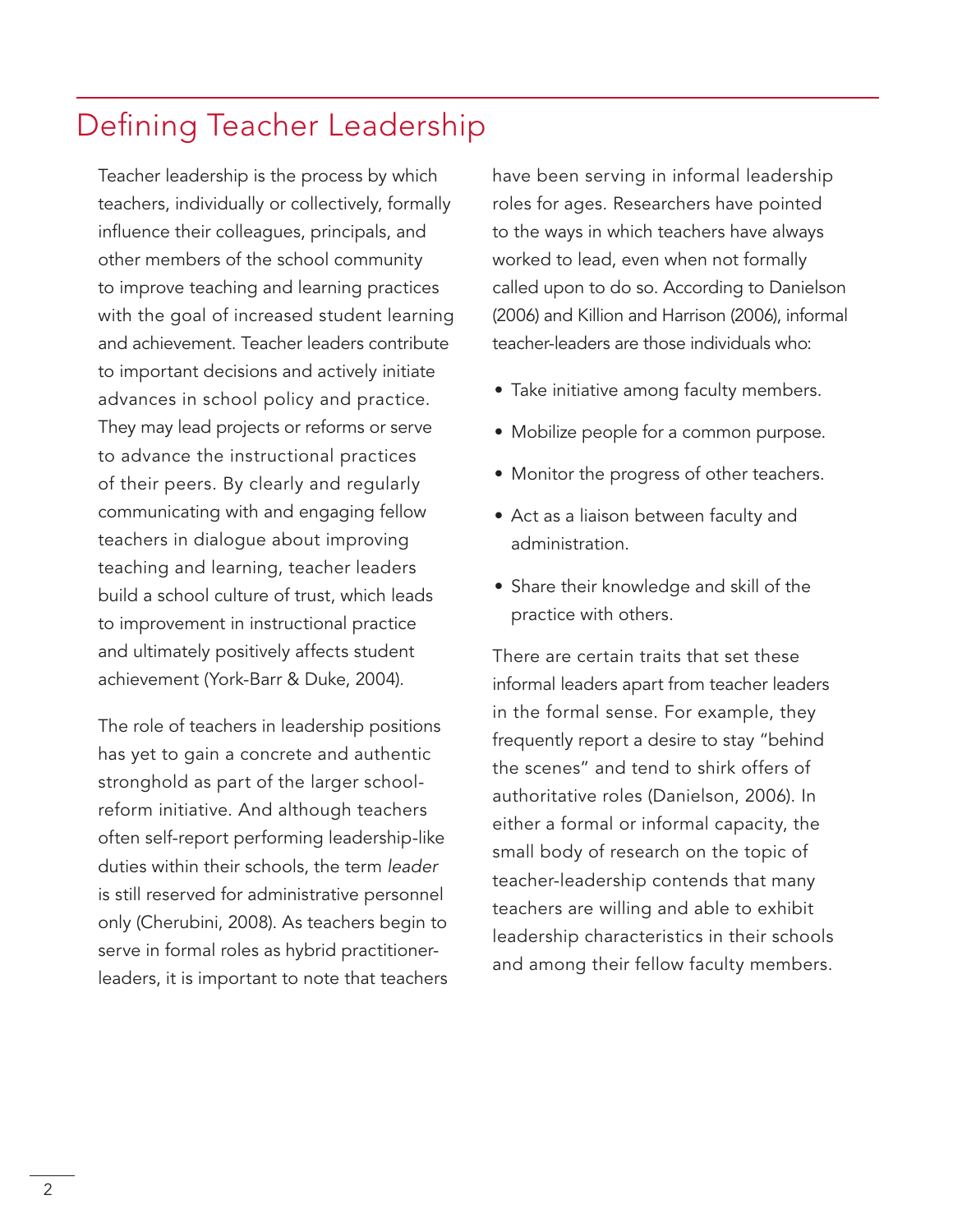### Defining Teacher Leadership

Teacher leadership is the process by which teachers, individually or collectively, formally influence their colleagues, principals, and other members of the school community to improve teaching and learning practices with the goal of increased student learning and achievement. Teacher leaders contribute to important decisions and actively initiate advances in school policy and practice. They may lead projects or reforms or serve to advance the instructional practices of their peers. By clearly and regularly communicating with and engaging fellow teachers in dialogue about improving teaching and learning, teacher leaders build a school culture of trust, which leads to improvement in instructional practice and ultimately positively affects student achievement (York-Barr & Duke, 2004).

The role of teachers in leadership positions has yet to gain a concrete and authentic stronghold as part of the larger schoolreform initiative. And although teachers often self-report performing leadership-like duties within their schools, the term *leader* is still reserved for administrative personnel only (Cherubini, 2008). As teachers begin to serve in formal roles as hybrid practitionerleaders, it is important to note that teachers have been serving in informal leadership roles for ages. Researchers have pointed to the ways in which teachers have always worked to lead, even when not formally called upon to do so. According to Danielson (2006) and Killion and Harrison (2006), informal teacher-leaders are those individuals who:

- Take initiative among faculty members.
- Mobilize people for a common purpose.
- Monitor the progress of other teachers.
- Act as a liaison between faculty and administration.
- Share their knowledge and skill of the practice with others.

There are certain traits that set these informal leaders apart from teacher leaders in the formal sense. For example, they frequently report a desire to stay "behind the scenes" and tend to shirk offers of authoritative roles (Danielson, 2006). In either a formal or informal capacity, the small body of research on the topic of teacher-leadership contends that many teachers are willing and able to exhibit leadership characteristics in their schools and among their fellow faculty members.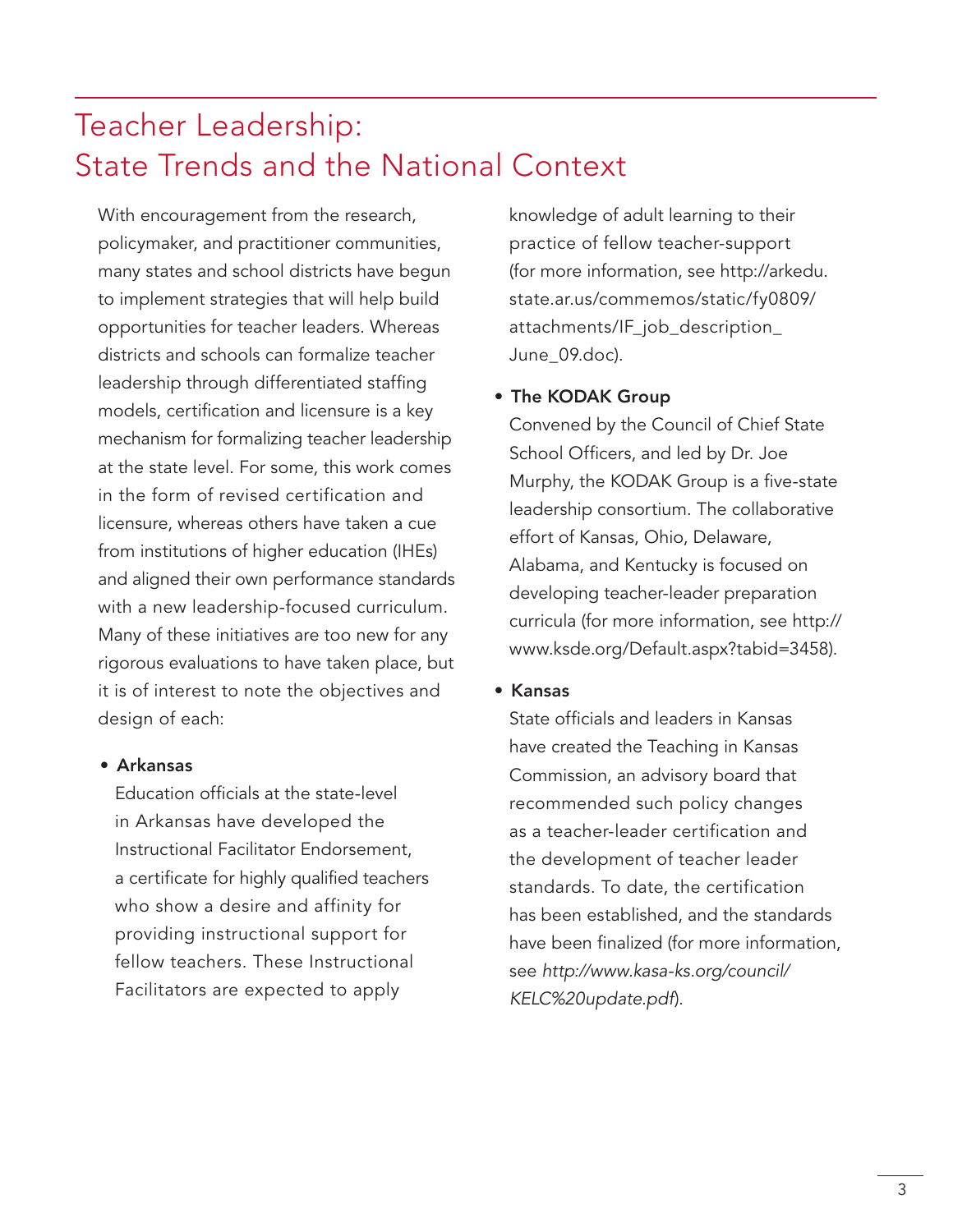## Teacher Leadership: State Trends and the National Context

With encouragement from the research, policymaker, and practitioner communities, many states and school districts have begun to implement strategies that will help build opportunities for teacher leaders. Whereas districts and schools can formalize teacher leadership through differentiated staffing models, certification and licensure is a key mechanism for formalizing teacher leadership at the state level. For some, this work comes in the form of revised certification and licensure, whereas others have taken a cue from institutions of higher education (IHEs) and aligned their own performance standards with a new leadership-focused curriculum. Many of these initiatives are too new for any rigorous evaluations to have taken place, but it is of interest to note the objectives and design of each:

#### • Arkansas

Education officials at the state-level in Arkansas have developed the Instructional Facilitator Endorsement, a certificate for highly qualified teachers who show a desire and affinity for providing instructional support for fellow teachers. These Instructional Facilitators are expected to apply

knowledge of adult learning to their practice of fellow teacher-support (for more information, see http://arkedu. state.ar.us/commemos/static/fy0809/ attachments/IF\_job\_description\_ June\_09.doc).

#### • The KODAK Group

Convened by the Council of Chief State School Officers, and led by Dr. Joe Murphy, the KODAK Group is a five-state leadership consortium. The collaborative effort of Kansas, Ohio, Delaware, Alabama, and Kentucky is focused on developing teacher-leader preparation curricula (for more information, see http:// www.ksde.org/Default.aspx?tabid=3458).

• Kansas

State officials and leaders in Kansas have created the Teaching in Kansas Commission, an advisory board that recommended such policy changes as a teacher-leader certification and the development of teacher leader standards. To date, the certification has been established, and the standards have been finalized (for more information, see *http://www.kasa-ks.org/council/ KELC%20update.pdf*).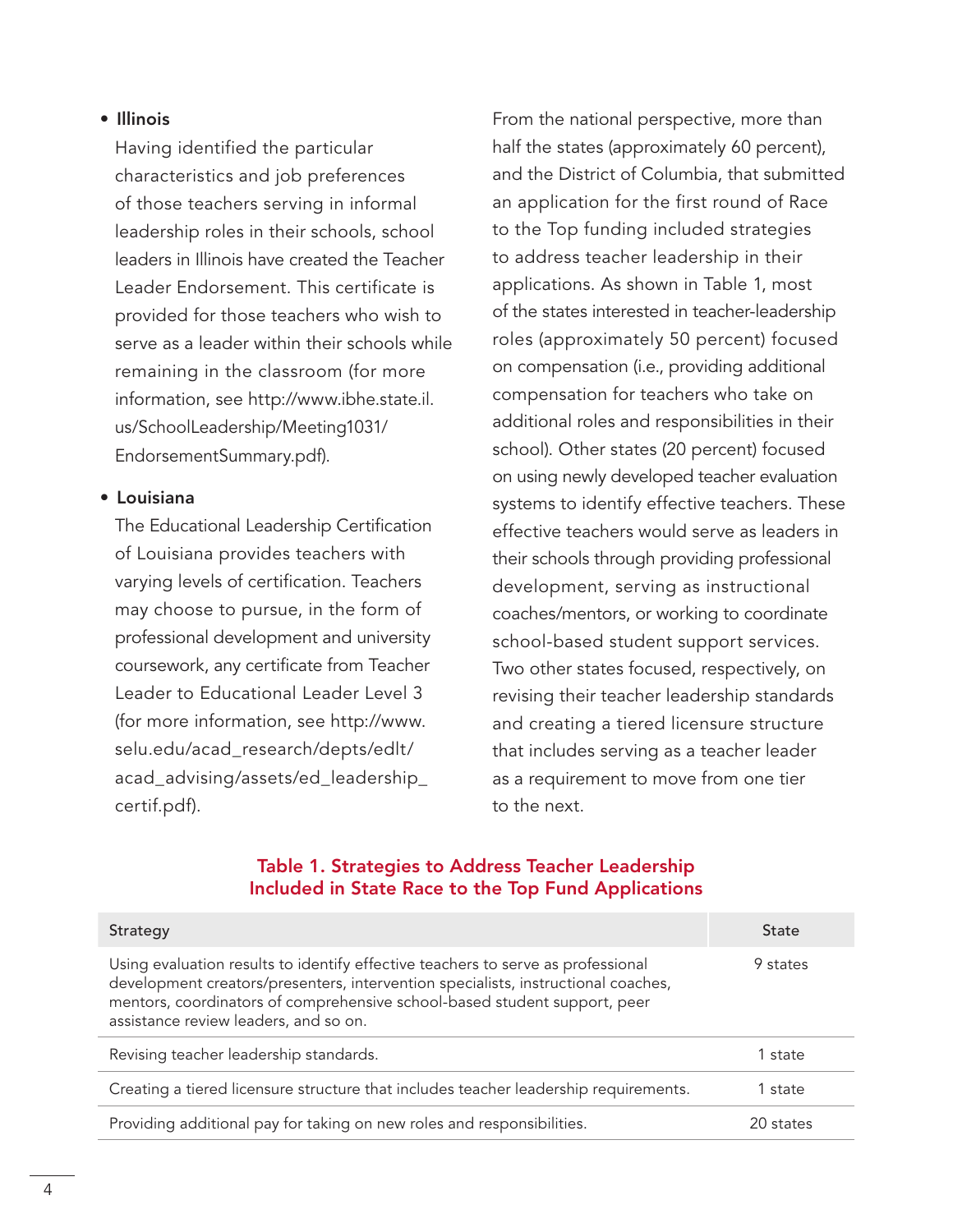#### • Illinois

Having identified the particular characteristics and job preferences of those teachers serving in informal leadership roles in their schools, school leaders in Illinois have created the Teacher Leader Endorsement. This certificate is provided for those teachers who wish to serve as a leader within their schools while remaining in the classroom (for more information, see http://www.ibhe.state.il. us/SchoolLeadership/Meeting1031/ EndorsementSummary.pdf).

#### • Louisiana

The Educational Leadership Certification of Louisiana provides teachers with varying levels of certification. Teachers may choose to pursue, in the form of professional development and university coursework, any certificate from Teacher Leader to Educational Leader Level 3 (for more information, see http://www. selu.edu/acad\_research/depts/edlt/ acad\_advising/assets/ed\_leadership\_ certif.pdf).

From the national perspective, more than half the states (approximately 60 percent), and the District of Columbia, that submitted an application for the first round of Race to the Top funding included strategies to address teacher leadership in their applications. As shown in Table 1, most of the states interested in teacher-leadership roles (approximately 50 percent) focused on compensation (i.e., providing additional compensation for teachers who take on additional roles and responsibilities in their school). Other states (20 percent) focused on using newly developed teacher evaluation systems to identify effective teachers. These effective teachers would serve as leaders in their schools through providing professional development, serving as instructional coaches/mentors, or working to coordinate school-based student support services. Two other states focused, respectively, on revising their teacher leadership standards and creating a tiered licensure structure that includes serving as a teacher leader as a requirement to move from one tier to the next.

#### Table 1. Strategies to Address Teacher Leadership Included in State Race to the Top Fund Applications

| Strategy                                                                                                                                                                                                                                                                                    | State     |
|---------------------------------------------------------------------------------------------------------------------------------------------------------------------------------------------------------------------------------------------------------------------------------------------|-----------|
| Using evaluation results to identify effective teachers to serve as professional<br>development creators/presenters, intervention specialists, instructional coaches,<br>mentors, coordinators of comprehensive school-based student support, peer<br>assistance review leaders, and so on. | 9 states  |
| Revising teacher leadership standards.                                                                                                                                                                                                                                                      | 1 state   |
| Creating a tiered licensure structure that includes teacher leadership requirements.                                                                                                                                                                                                        | 1 state   |
| Providing additional pay for taking on new roles and responsibilities.                                                                                                                                                                                                                      | 20 states |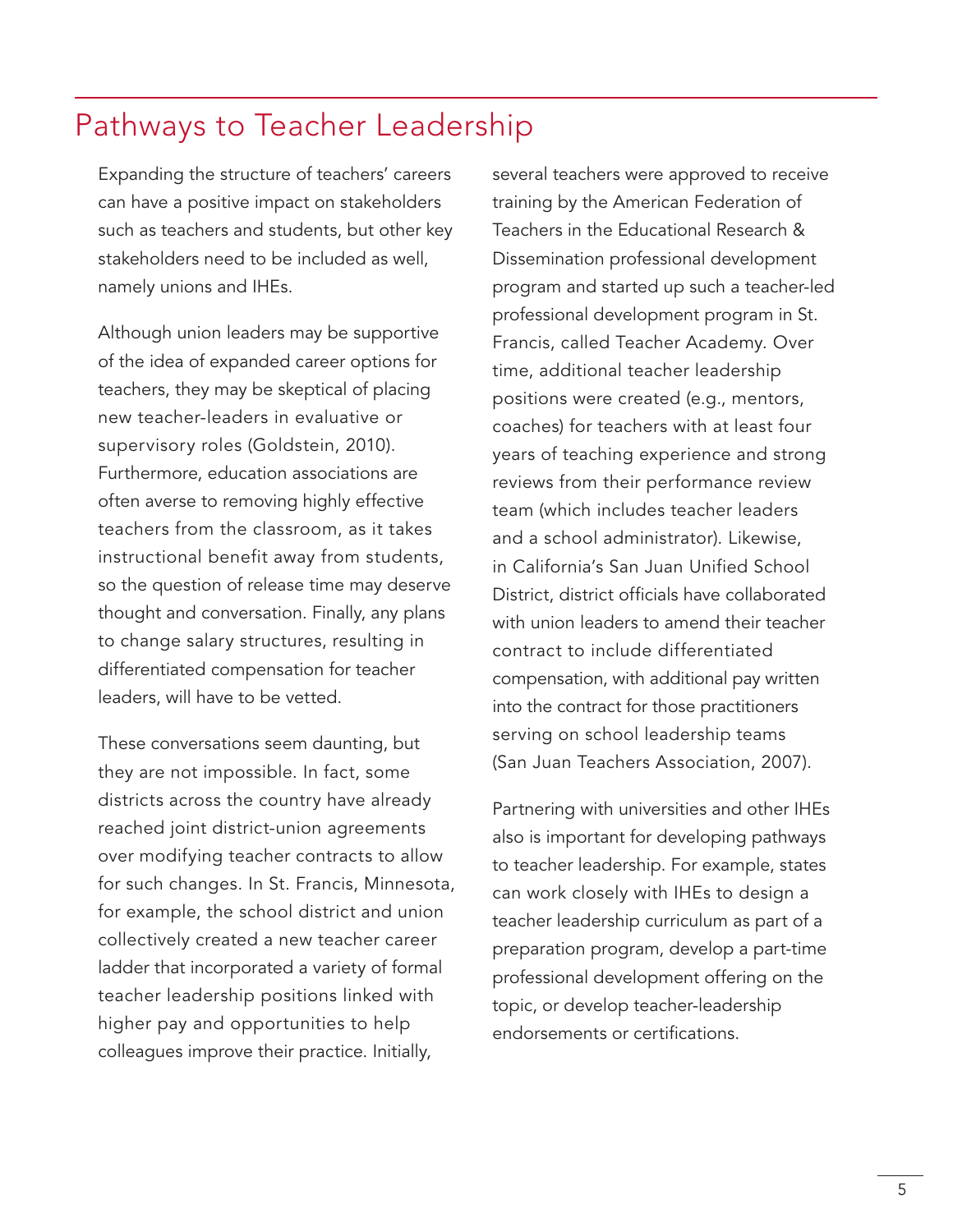### Pathways to Teacher Leadership

Expanding the structure of teachers' careers can have a positive impact on stakeholders such as teachers and students, but other key stakeholders need to be included as well, namely unions and IHEs.

Although union leaders may be supportive of the idea of expanded career options for teachers, they may be skeptical of placing new teacher-leaders in evaluative or supervisory roles (Goldstein, 2010). Furthermore, education associations are often averse to removing highly effective teachers from the classroom, as it takes instructional benefit away from students, so the question of release time may deserve thought and conversation. Finally, any plans to change salary structures, resulting in differentiated compensation for teacher leaders, will have to be vetted.

These conversations seem daunting, but they are not impossible. In fact, some districts across the country have already reached joint district-union agreements over modifying teacher contracts to allow for such changes. In St. Francis, Minnesota, for example, the school district and union collectively created a new teacher career ladder that incorporated a variety of formal teacher leadership positions linked with higher pay and opportunities to help colleagues improve their practice. Initially,

several teachers were approved to receive training by the American Federation of Teachers in the Educational Research & Dissemination professional development program and started up such a teacher-led professional development program in St. Francis, called Teacher Academy. Over time, additional teacher leadership positions were created (e.g., mentors, coaches) for teachers with at least four years of teaching experience and strong reviews from their performance review team (which includes teacher leaders and a school administrator). Likewise, in California's San Juan Unified School District, district officials have collaborated with union leaders to amend their teacher contract to include differentiated compensation, with additional pay written into the contract for those practitioners serving on school leadership teams (San Juan Teachers Association, 2007).

Partnering with universities and other IHEs also is important for developing pathways to teacher leadership. For example, states can work closely with IHEs to design a teacher leadership curriculum as part of a preparation program, develop a part-time professional development offering on the topic, or develop teacher-leadership endorsements or certifications.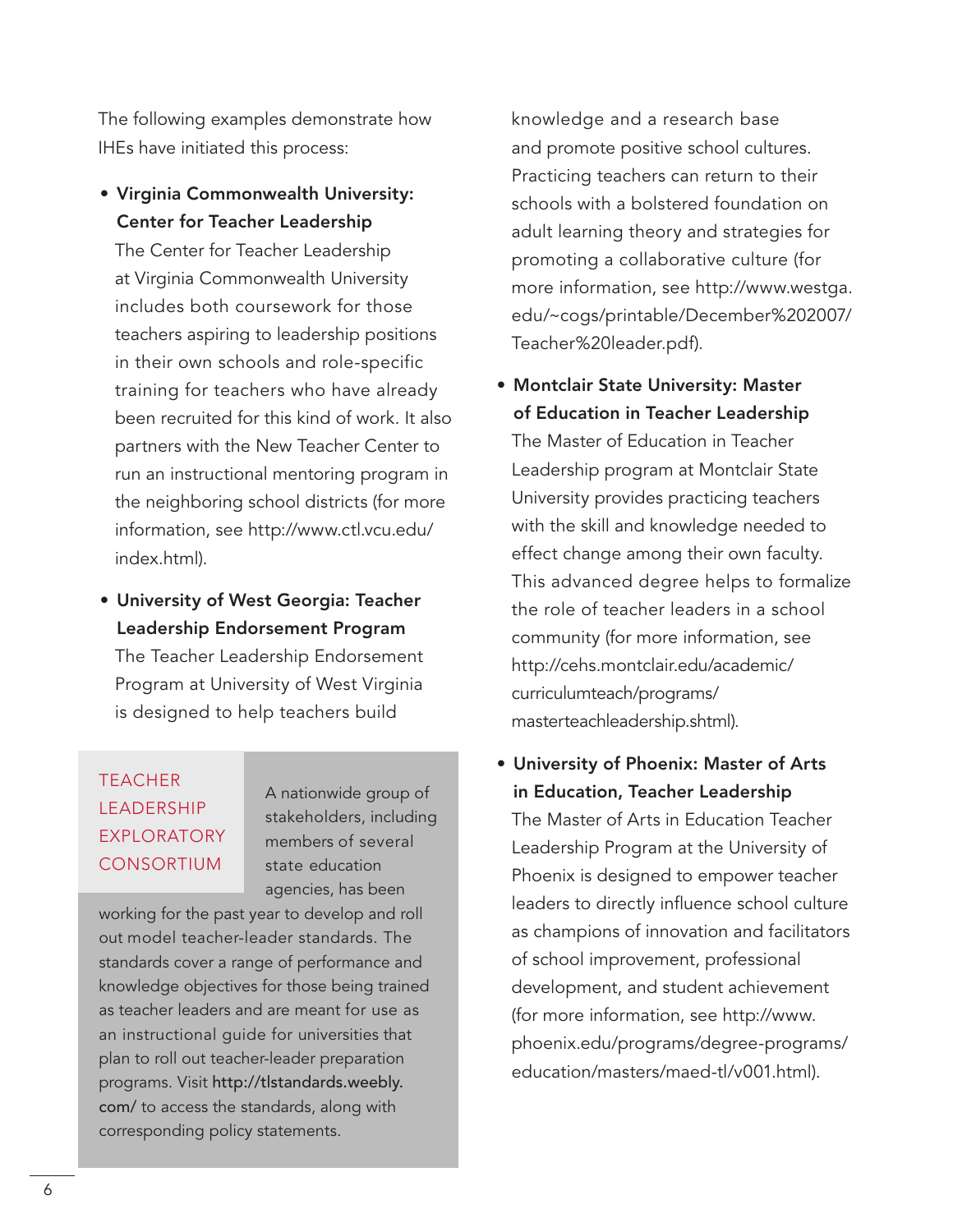The following examples demonstrate how IHEs have initiated this process:

• Virginia Commonwealth University: Center for Teacher Leadership

The Center for Teacher Leadership at Virginia Commonwealth University includes both coursework for those teachers aspiring to leadership positions in their own schools and role-specific training for teachers who have already been recruited for this kind of work. It also partners with the New Teacher Center to run an instructional mentoring program in the neighboring school districts (for more information, see http://www.ctl.vcu.edu/ index.html).

• University of West Georgia: Teacher Leadership Endorsement Program The Teacher Leadership Endorsement Program at University of West Virginia is designed to help teachers build

### **TEACHER LEADERSHIP EXPLORATORY CONSORTIUM**

A nationwide group of stakeholders, including members of several state education agencies, has been

working for the past year to develop and roll out model teacher-leader standards. The standards cover a range of performance and knowledge objectives for those being trained as teacher leaders and are meant for use as an instructional guide for universities that plan to roll out teacher-leader preparation programs. Visit http://tlstandards.weebly. com/ to access the standards, along with corresponding policy statements.

knowledge and a research base and promote positive school cultures. Practicing teachers can return to their schools with a bolstered foundation on adult learning theory and strategies for promoting a collaborative culture (for more information, see http://www.westga. edu/~cogs/printable/December%202007/ Teacher%20leader.pdf).

• Montclair State University: Master of Education in Teacher Leadership

The Master of Education in Teacher Leadership program at Montclair State University provides practicing teachers with the skill and knowledge needed to effect change among their own faculty. This advanced degree helps to formalize the role of teacher leaders in a school community (for more information, see http://cehs.montclair.edu/academic/ curriculumteach/programs/ masterteachleadership.shtml).

• University of Phoenix: Master of Arts in Education, Teacher Leadership The Master of Arts in Education Teacher Leadership Program at the University of Phoenix is designed to empower teacher leaders to directly influence school culture as champions of innovation and facilitators of school improvement, professional development, and student achievement (for more information, see http://www. phoenix.edu/programs/degree-programs/ education/masters/maed-tl/v001.html).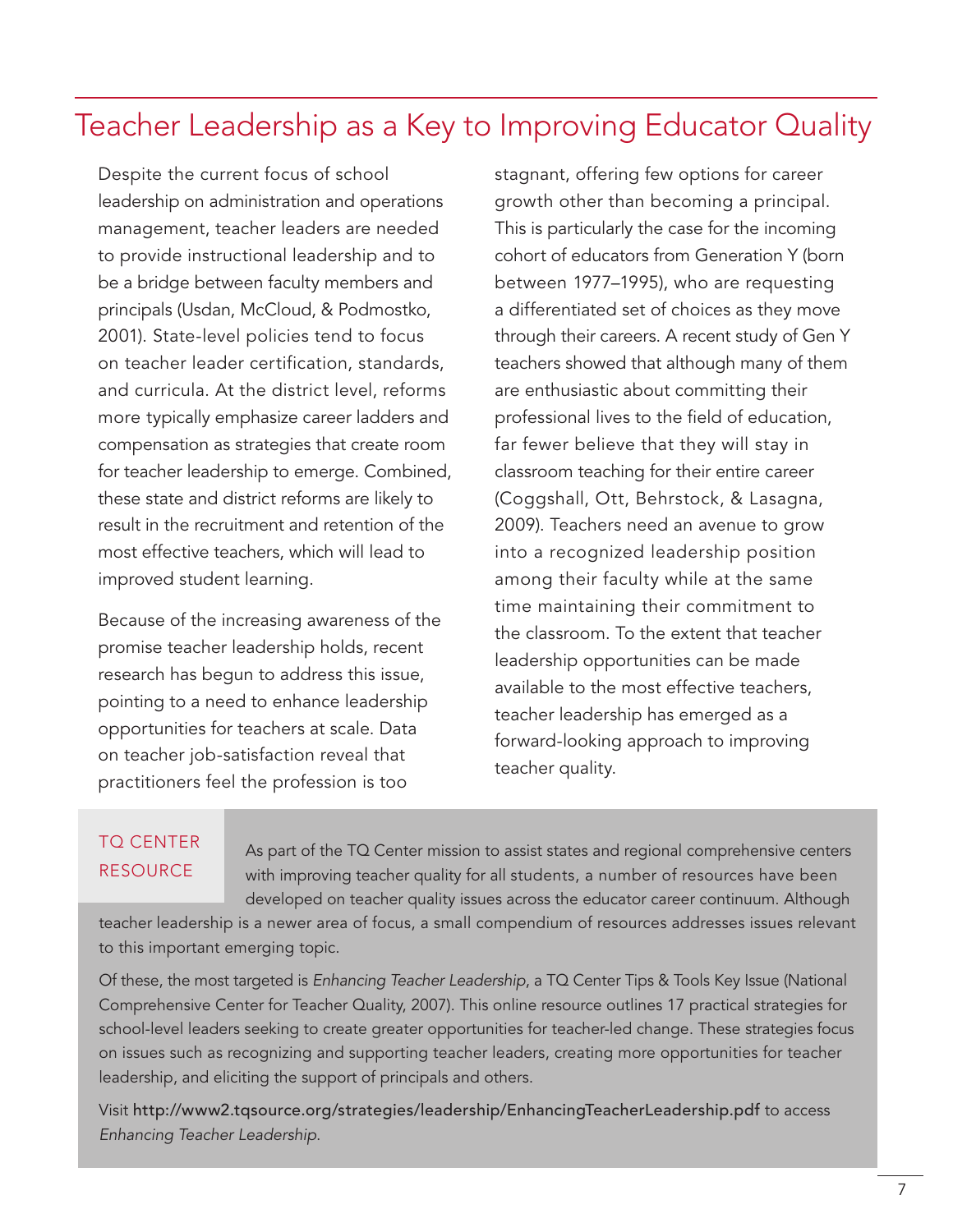### Teacher Leadership as a Key to Improving Educator Quality

Despite the current focus of school leadership on administration and operations management, teacher leaders are needed to provide instructional leadership and to be a bridge between faculty members and principals (Usdan, McCloud, & Podmostko, 2001). State-level policies tend to focus on teacher leader certification, standards, and curricula. At the district level, reforms more typically emphasize career ladders and compensation as strategies that create room for teacher leadership to emerge. Combined, these state and district reforms are likely to result in the recruitment and retention of the most effective teachers, which will lead to improved student learning.

Because of the increasing awareness of the promise teacher leadership holds, recent research has begun to address this issue, pointing to a need to enhance leadership opportunities for teachers at scale. Data on teacher job-satisfaction reveal that practitioners feel the profession is too

stagnant, offering few options for career growth other than becoming a principal. This is particularly the case for the incoming cohort of educators from Generation Y (born between 1977–1995), who are requesting a differentiated set of choices as they move through their careers. A recent study of Gen Y teachers showed that although many of them are enthusiastic about committing their professional lives to the field of education, far fewer believe that they will stay in classroom teaching for their entire career (Coggshall, Ott, Behrstock, & Lasagna, 2009). Teachers need an avenue to grow into a recognized leadership position among their faculty while at the same time maintaining their commitment to the classroom. To the extent that teacher leadership opportunities can be made available to the most effective teachers, teacher leadership has emerged as a forward-looking approach to improving teacher quality.

#### TO CENTER **RESOURCE**

As part of the TQ Center mission to assist states and regional comprehensive centers with improving teacher quality for all students, a number of resources have been developed on teacher quality issues across the educator career continuum. Although

teacher leadership is a newer area of focus, a small compendium of resources addresses issues relevant to this important emerging topic.

Of these, the most targeted is *Enhancing Teacher Leadership*, a TQ Center Tips & Tools Key Issue (National Comprehensive Center for Teacher Quality, 2007). This online resource outlines 17 practical strategies for school-level leaders seeking to create greater opportunities for teacher-led change. These strategies focus on issues such as recognizing and supporting teacher leaders, creating more opportunities for teacher leadership, and eliciting the support of principals and others.

Visit http://www2.tqsource.org/strategies/leadership/EnhancingTeacherLeadership.pdf to access *Enhancing Teacher Leadership*.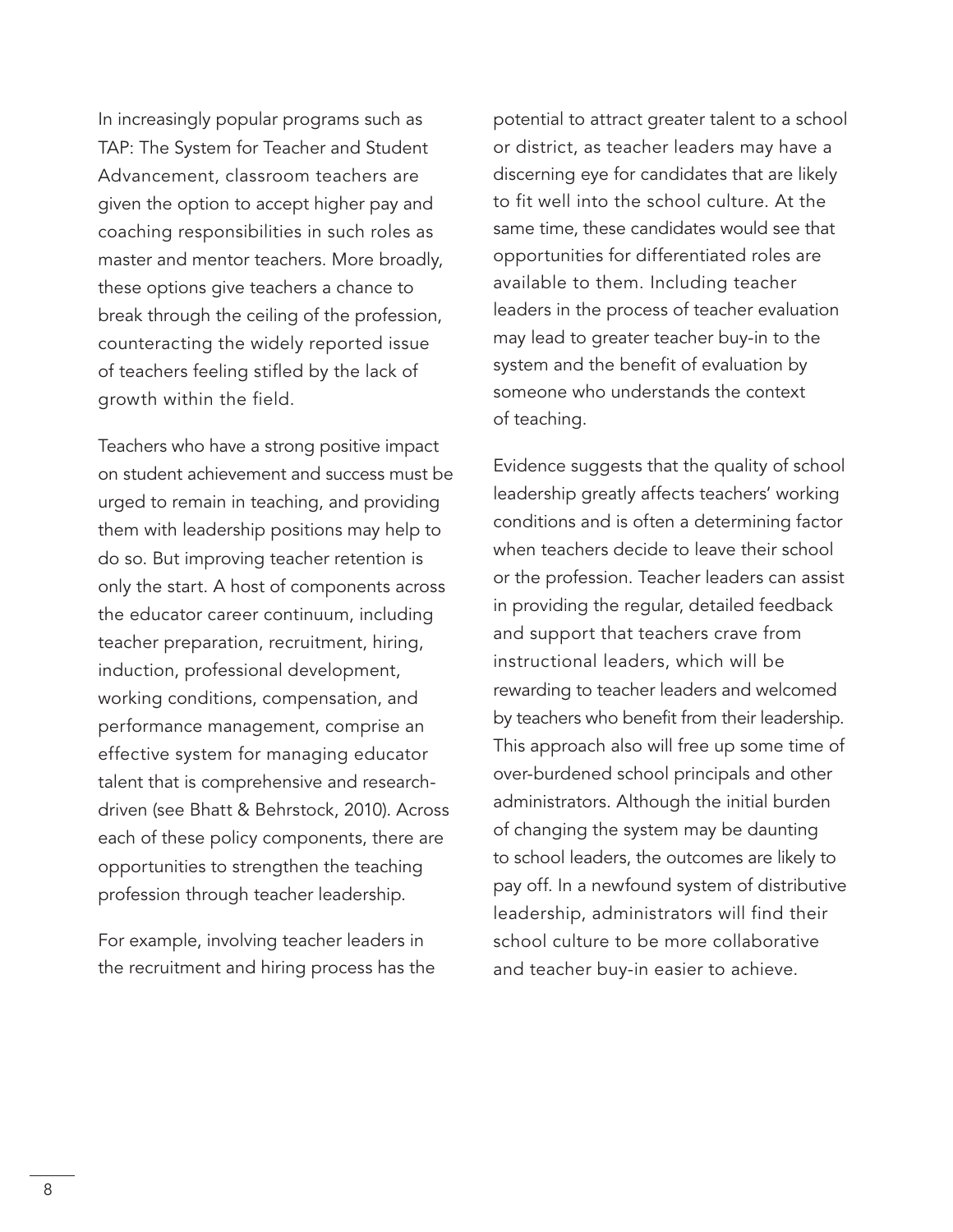In increasingly popular programs such as TAP: The System for Teacher and Student Advancement, classroom teachers are given the option to accept higher pay and coaching responsibilities in such roles as master and mentor teachers. More broadly, these options give teachers a chance to break through the ceiling of the profession, counteracting the widely reported issue of teachers feeling stifled by the lack of growth within the field.

Teachers who have a strong positive impact on student achievement and success must be urged to remain in teaching, and providing them with leadership positions may help to do so. But improving teacher retention is only the start. A host of components across the educator career continuum, including teacher preparation, recruitment, hiring, induction, professional development, working conditions, compensation, and performance management, comprise an effective system for managing educator talent that is comprehensive and researchdriven (see Bhatt & Behrstock, 2010). Across each of these policy components, there are opportunities to strengthen the teaching profession through teacher leadership.

For example, involving teacher leaders in the recruitment and hiring process has the potential to attract greater talent to a school or district, as teacher leaders may have a discerning eye for candidates that are likely to fit well into the school culture. At the same time, these candidates would see that opportunities for differentiated roles are available to them. Including teacher leaders in the process of teacher evaluation may lead to greater teacher buy-in to the system and the benefit of evaluation by someone who understands the context of teaching.

Evidence suggests that the quality of school leadership greatly affects teachers' working conditions and is often a determining factor when teachers decide to leave their school or the profession. Teacher leaders can assist in providing the regular, detailed feedback and support that teachers crave from instructional leaders, which will be rewarding to teacher leaders and welcomed by teachers who benefit from their leadership. This approach also will free up some time of over-burdened school principals and other administrators. Although the initial burden of changing the system may be daunting to school leaders, the outcomes are likely to pay off. In a newfound system of distributive leadership, administrators will find their school culture to be more collaborative and teacher buy-in easier to achieve.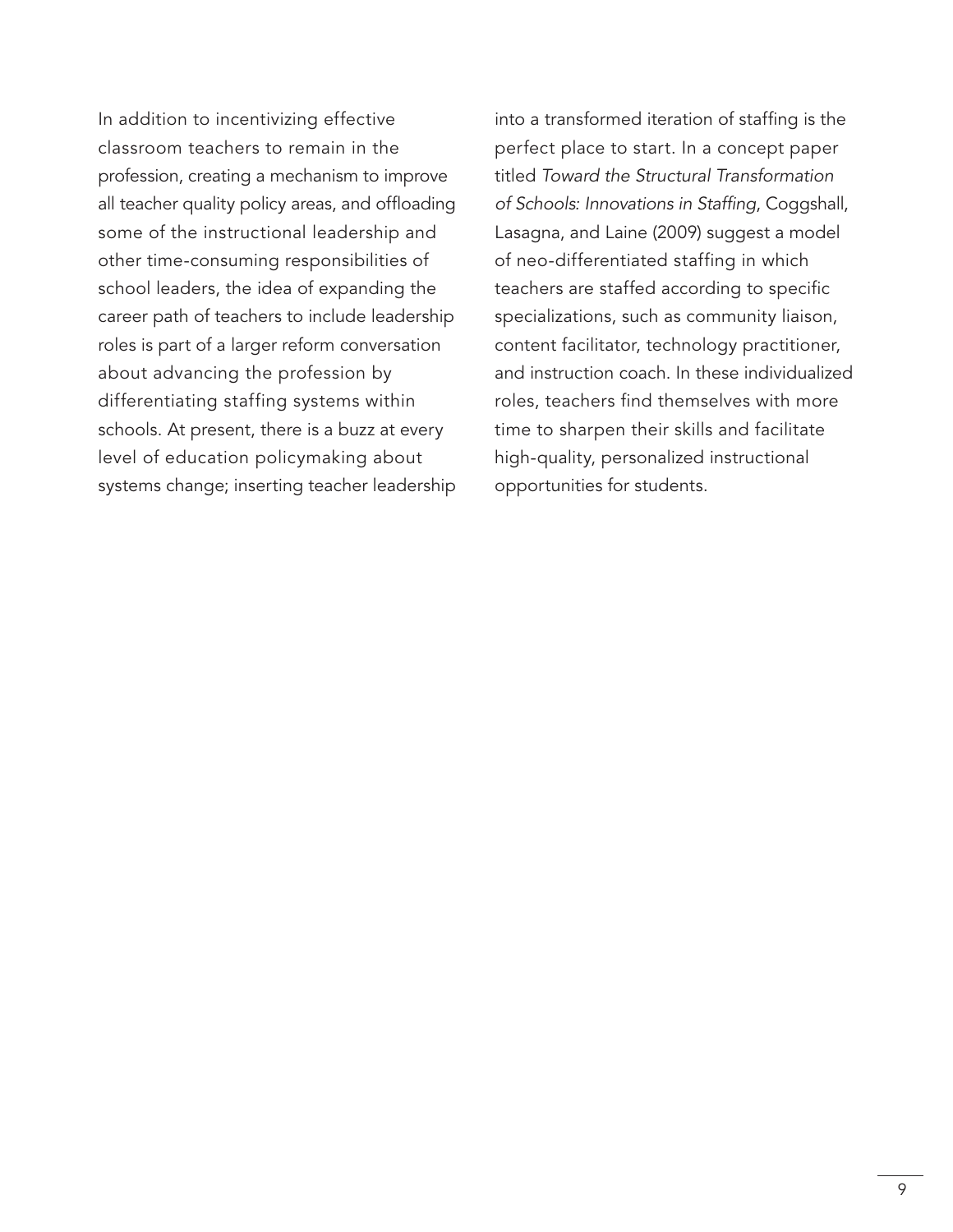In addition to incentivizing effective classroom teachers to remain in the profession, creating a mechanism to improve all teacher quality policy areas, and offloading some of the instructional leadership and other time-consuming responsibilities of school leaders, the idea of expanding the career path of teachers to include leadership roles is part of a larger reform conversation about advancing the profession by differentiating staffing systems within schools. At present, there is a buzz at every level of education policymaking about systems change; inserting teacher leadership into a transformed iteration of staffing is the perfect place to start. In a concept paper titled *Toward the Structural Transformation of Schools: Innovations in Staffing*, Coggshall, Lasagna, and Laine (2009) suggest a model of neo-differentiated staffing in which teachers are staffed according to specific specializations, such as community liaison, content facilitator, technology practitioner, and instruction coach. In these individualized roles, teachers find themselves with more time to sharpen their skills and facilitate high-quality, personalized instructional opportunities for students.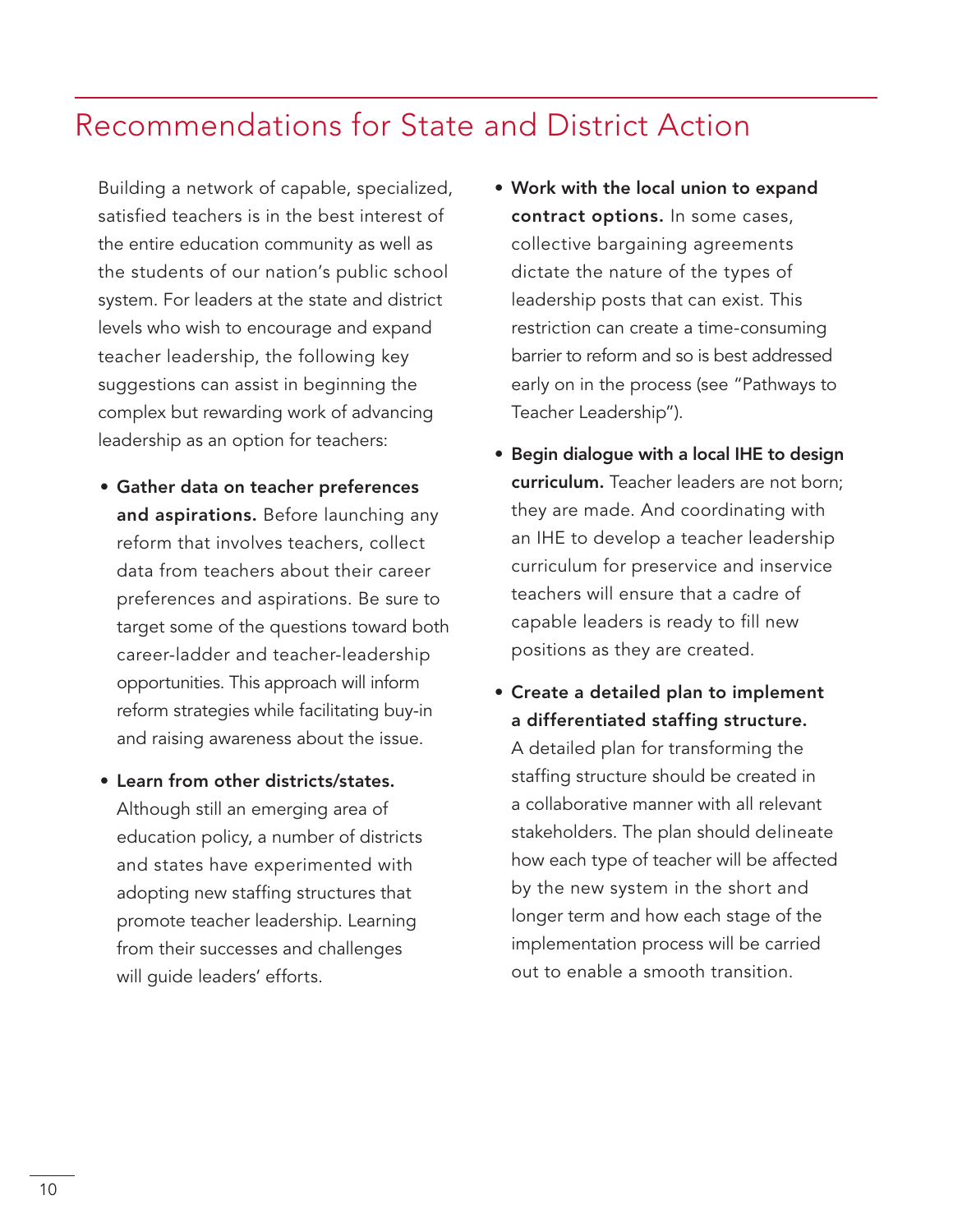### Recommendations for State and District Action

Building a network of capable, specialized, satisfied teachers is in the best interest of the entire education community as well as the students of our nation's public school system. For leaders at the state and district levels who wish to encourage and expand teacher leadership, the following key suggestions can assist in beginning the complex but rewarding work of advancing leadership as an option for teachers:

- • Gather data on teacher preferences and aspirations. Before launching any reform that involves teachers, collect data from teachers about their career preferences and aspirations. Be sure to target some of the questions toward both career-ladder and teacher-leadership opportunities. This approach will inform reform strategies while facilitating buy-in and raising awareness about the issue.
- Learn from other districts/states. Although still an emerging area of education policy, a number of districts and states have experimented with adopting new staffing structures that promote teacher leadership. Learning from their successes and challenges will guide leaders' efforts.
- • Work with the local union to expand contract options. In some cases, collective bargaining agreements dictate the nature of the types of leadership posts that can exist. This restriction can create a time-consuming barrier to reform and so is best addressed early on in the process (see "Pathways to Teacher Leadership").
- Begin dialogue with a local IHE to design curriculum. Teacher leaders are not born; they are made. And coordinating with an IHE to develop a teacher leadership curriculum for preservice and inservice teachers will ensure that a cadre of capable leaders is ready to fill new positions as they are created.
- • Create a detailed plan to implement a differentiated staffing structure. A detailed plan for transforming the staffing structure should be created in a collaborative manner with all relevant stakeholders. The plan should delineate how each type of teacher will be affected by the new system in the short and longer term and how each stage of the implementation process will be carried out to enable a smooth transition.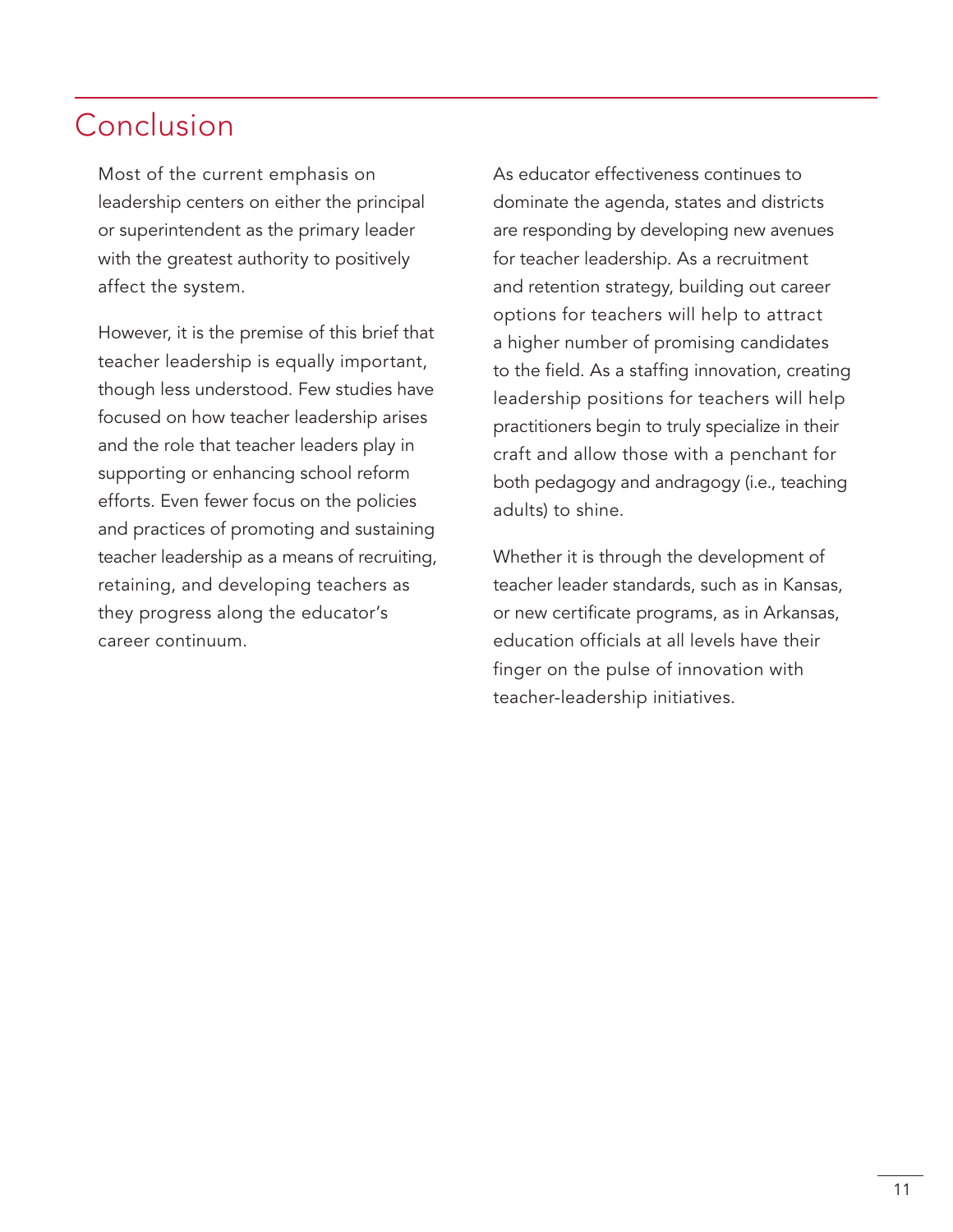### Conclusion

Most of the current emphasis on leadership centers on either the principal or superintendent as the primary leader with the greatest authority to positively affect the system.

However, it is the premise of this brief that teacher leadership is equally important, though less understood. Few studies have focused on how teacher leadership arises and the role that teacher leaders play in supporting or enhancing school reform efforts. Even fewer focus on the policies and practices of promoting and sustaining teacher leadership as a means of recruiting, retaining, and developing teachers as they progress along the educator's career continuum.

As educator effectiveness continues to dominate the agenda, states and districts are responding by developing new avenues for teacher leadership. As a recruitment and retention strategy, building out career options for teachers will help to attract a higher number of promising candidates to the field. As a staffing innovation, creating leadership positions for teachers will help practitioners begin to truly specialize in their craft and allow those with a penchant for both pedagogy and andragogy (i.e., teaching adults) to shine.

Whether it is through the development of teacher leader standards, such as in Kansas, or new certificate programs, as in Arkansas, education officials at all levels have their finger on the pulse of innovation with teacher-leadership initiatives.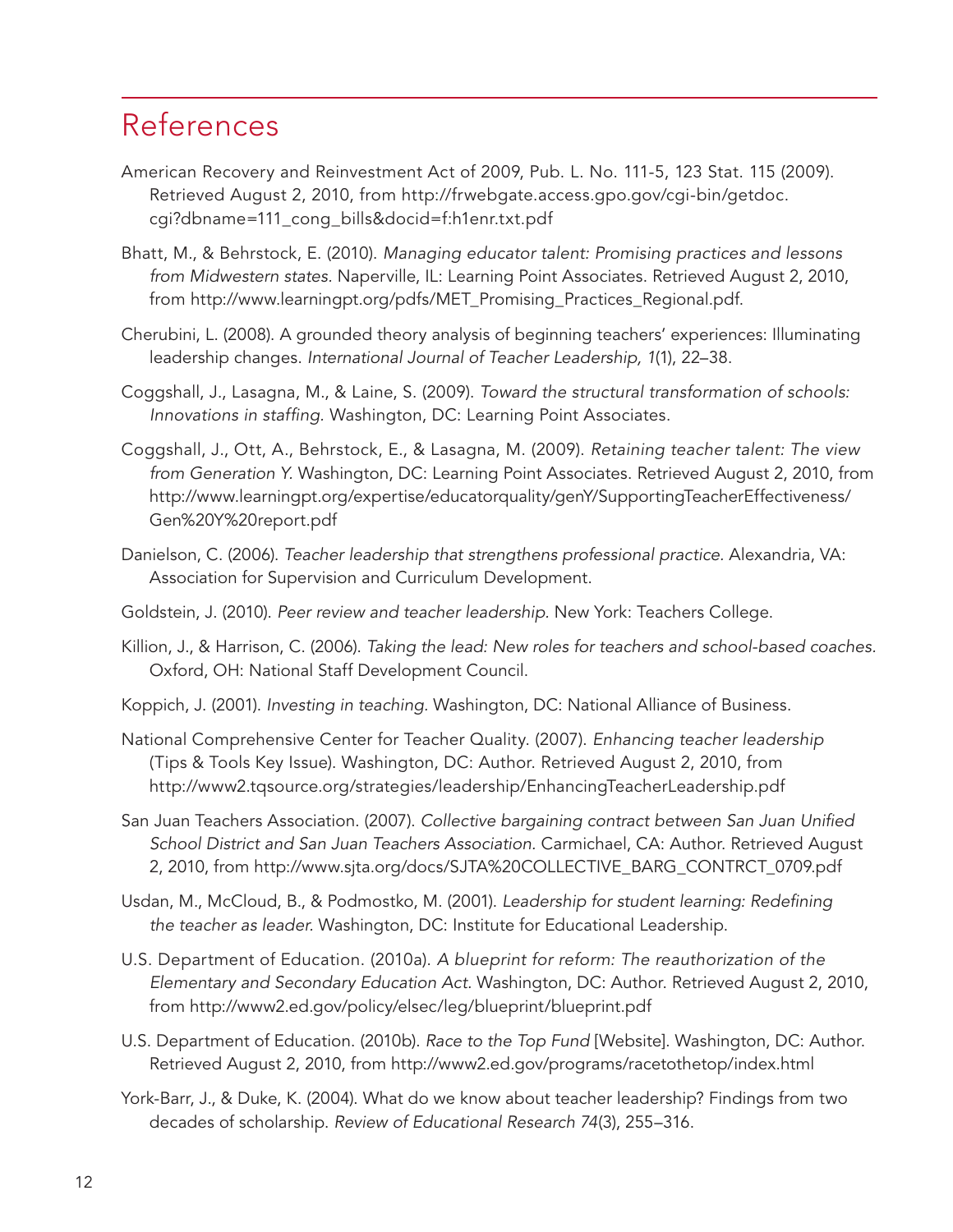### References

- American Recovery and Reinvestment Act of 2009, Pub. L. No. 111-5, 123 Stat. 115 (2009). Retrieved August 2, 2010, from http://frwebgate.access.gpo.gov/cgi-bin/getdoc. cgi?dbname=111\_cong\_bills&docid=f:h1enr.txt.pdf
- Bhatt, M., & Behrstock, E. (2010). *Managing educator talent: Promising practices and lessons from Midwestern states.* Naperville, IL: Learning Point Associates. Retrieved August 2, 2010, from http://www.learningpt.org/pdfs/MET\_Promising\_Practices\_Regional.pdf.
- Cherubini, L. (2008). A grounded theory analysis of beginning teachers' experiences: Illuminating leadership changes. *International Journal of Teacher Leadership, 1*(1), 22–38.
- Coggshall, J., Lasagna, M., & Laine, S. (2009). *Toward the structural transformation of schools: Innovations in staffing.* Washington, DC: Learning Point Associates.
- Coggshall, J., Ott, A., Behrstock, E., & Lasagna, M. (2009). *Retaining teacher talent: The view from Generation Y.* Washington, DC: Learning Point Associates. Retrieved August 2, 2010, from http://www.learningpt.org/expertise/educatorquality/genY/SupportingTeacherEffectiveness/ Gen%20Y%20report.pdf
- Danielson, C. (2006). *Teacher leadership that strengthens professional practice.* Alexandria, VA: Association for Supervision and Curriculum Development.
- Goldstein, J. (2010). *Peer review and teacher leadership.* New York: Teachers College.
- Killion, J., & Harrison, C. (2006). *Taking the lead: New roles for teachers and school-based coaches.*  Oxford, OH: National Staff Development Council.
- Koppich, J. (2001). *Investing in teaching.* Washington, DC: National Alliance of Business.
- National Comprehensive Center for Teacher Quality. (2007). *Enhancing teacher leadership* (Tips & Tools Key Issue). Washington, DC: Author. Retrieved August 2, 2010, from http://www2.tqsource.org/strategies/leadership/EnhancingTeacherLeadership.pdf
- San Juan Teachers Association. (2007). *Collective bargaining contract between San Juan Unified School District and San Juan Teachers Association.* Carmichael, CA: Author. Retrieved August 2, 2010, from http://www.sjta.org/docs/SJTA%20COLLECTIVE\_BARG\_CONTRCT\_0709.pdf
- Usdan, M., McCloud, B., & Podmostko, M. (2001). *Leadership for student learning: Redefining the teacher as leader.* Washington, DC: Institute for Educational Leadership.
- U.S. Department of Education. (2010a). *A blueprint for reform: The reauthorization of the Elementary and Secondary Education Act.* Washington, DC: Author. Retrieved August 2, 2010, from http://www2.ed.gov/policy/elsec/leg/blueprint/blueprint.pdf
- U.S. Department of Education. (2010b). *Race to the Top Fund* [Website]. Washington, DC: Author. Retrieved August 2, 2010, from http://www2.ed.gov/programs/racetothetop/index.html
- York-Barr, J., & Duke, K. (2004). What do we know about teacher leadership? Findings from two decades of scholarship. *Review of Educational Research 74*(3), 255–316.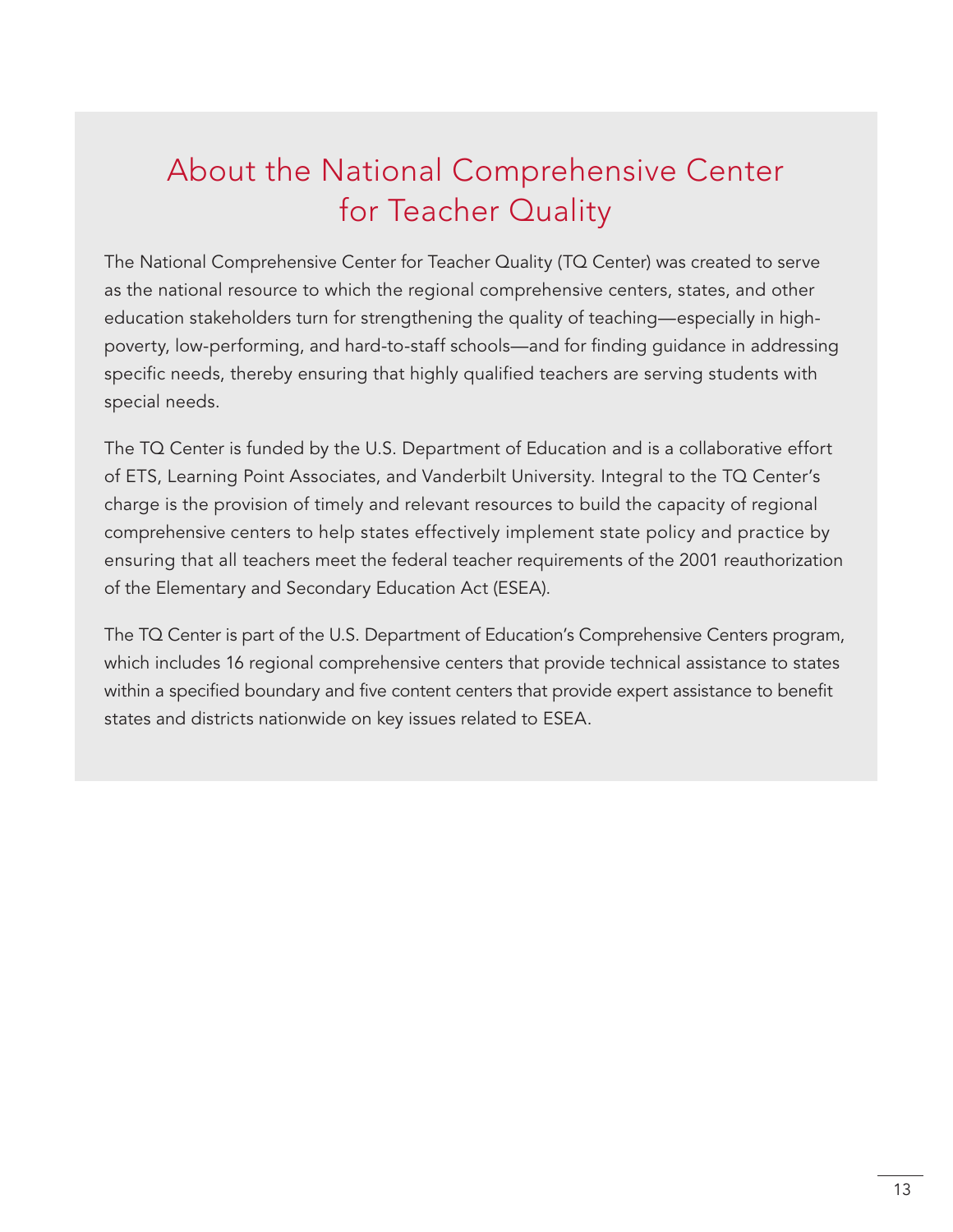## About the National Comprehensive Center for Teacher Quality

The National Comprehensive Center for Teacher Quality (TQ Center) was created to serve as the national resource to which the regional comprehensive centers, states, and other education stakeholders turn for strengthening the quality of teaching—especially in highpoverty, low-performing, and hard-to-staff schools—and for finding guidance in addressing specific needs, thereby ensuring that highly qualified teachers are serving students with special needs.

The TQ Center is funded by the U.S. Department of Education and is a collaborative effort of ETS, Learning Point Associates, and Vanderbilt University. Integral to the TQ Center's charge is the provision of timely and relevant resources to build the capacity of regional comprehensive centers to help states effectively implement state policy and practice by ensuring that all teachers meet the federal teacher requirements of the 2001 reauthorization of the Elementary and Secondary Education Act (ESEA).

The TQ Center is part of the U.S. Department of Education's Comprehensive Centers program, which includes 16 regional comprehensive centers that provide technical assistance to states within a specified boundary and five content centers that provide expert assistance to benefit states and districts nationwide on key issues related to ESEA.